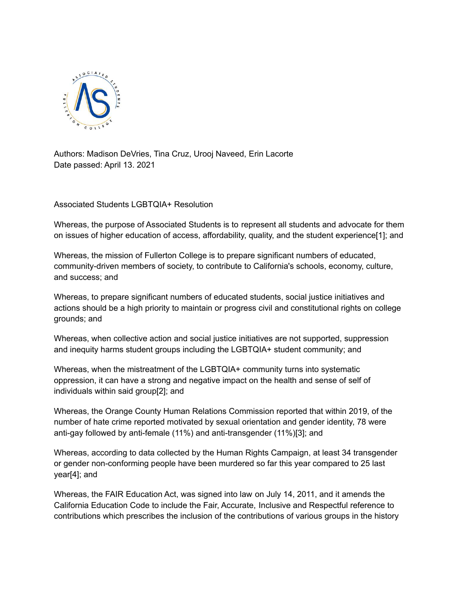

Authors: Madison DeVries, Tina Cruz, Urooj Naveed, Erin Lacorte Date passed: April 13. 2021

Associated Students LGBTQIA+ Resolution

Whereas, the purpose of Associated Students is to represent all students and advocate for them on issues of higher education of access, affordability, quality, and the student experience[1]; and

Whereas, the mission of Fullerton College is to prepare significant numbers of educated, community-driven members of society, to contribute to California's schools, economy, culture, and success; and

Whereas, to prepare significant numbers of educated students, social justice initiatives and actions should be a high priority to maintain or progress civil and constitutional rights on college grounds; and

Whereas, when collective action and social justice initiatives are not supported, suppression and inequity harms student groups including the LGBTQIA+ student community; and

Whereas, when the mistreatment of the LGBTQIA+ community turns into systematic oppression, it can have a strong and negative impact on the health and sense of self of individuals within said group[2]; and

Whereas, the Orange County Human Relations Commission reported that within 2019, of the number of hate crime reported motivated by sexual orientation and gender identity, 78 were anti-gay followed by anti-female (11%) and anti-transgender (11%)[3]; and

Whereas, according to data collected by the Human Rights Campaign, at least 34 transgender or gender non-conforming people have been murdered so far this year compared to 25 last year[4]; and

Whereas, the FAIR Education Act, was signed into law on July 14, 2011, and it amends the California Education Code to include the Fair, Accurate, Inclusive and Respectful reference to contributions which prescribes the inclusion of the contributions of various groups in the history